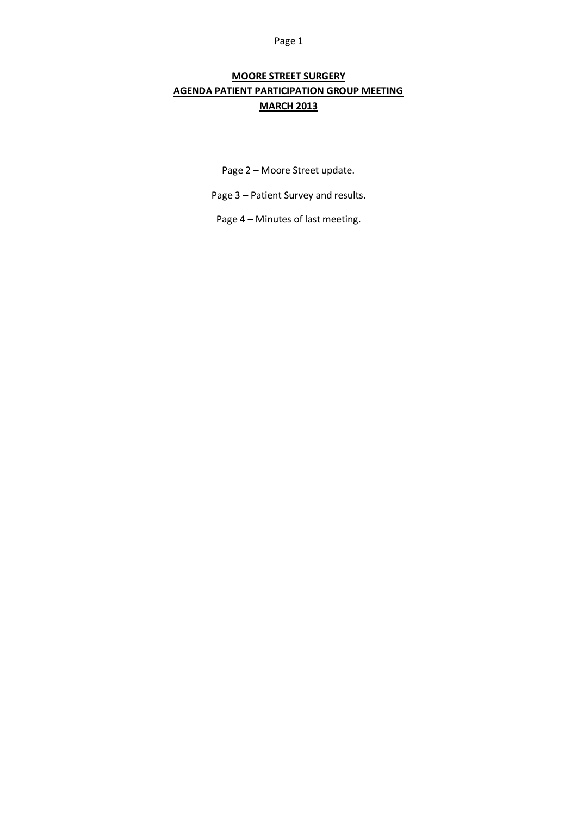#### Page 1

# **MOORE STREET SURGERY AGENDA PATIENT PARTICIPATION GROUP MEETING MARCH 2013**

Page 2 – Moore Street update.

Page 3 – Patient Survey and results.

Page 4 – Minutes of last meeting.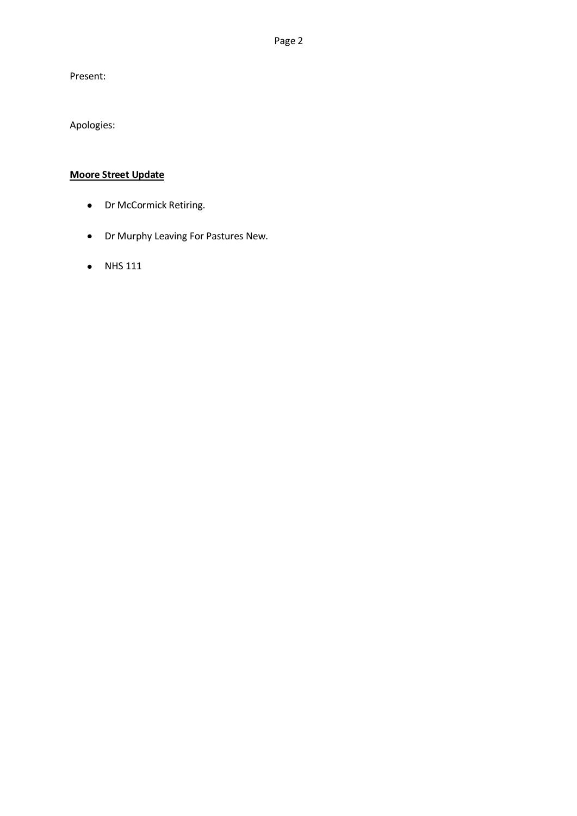Present:

Apologies:

# **Moore Street Update**

- Dr McCormick Retiring.
- Dr Murphy Leaving For Pastures New.
- NHS 111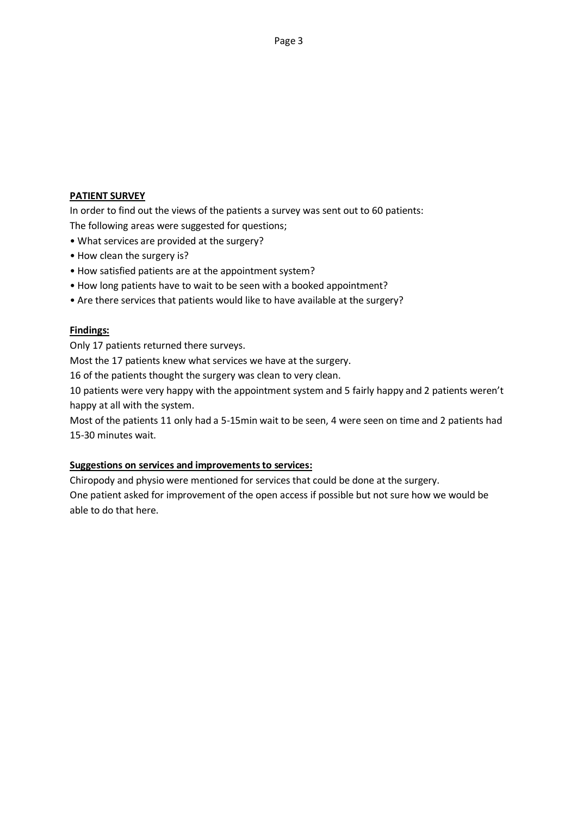# **PATIENT SURVEY**

In order to find out the views of the patients a survey was sent out to 60 patients: The following areas were suggested for questions;

- What services are provided at the surgery?
- How clean the surgery is?
- How satisfied patients are at the appointment system?
- How long patients have to wait to be seen with a booked appointment?
- Are there services that patients would like to have available at the surgery?

## **Findings:**

Only 17 patients returned there surveys.

Most the 17 patients knew what services we have at the surgery.

16 of the patients thought the surgery was clean to very clean.

10 patients were very happy with the appointment system and 5 fairly happy and 2 patients weren't happy at all with the system.

Most of the patients 11 only had a 5-15min wait to be seen, 4 were seen on time and 2 patients had 15-30 minutes wait.

## **Suggestions on services and improvements to services:**

Chiropody and physio were mentioned for services that could be done at the surgery. One patient asked for improvement of the open access if possible but not sure how we would be able to do that here.